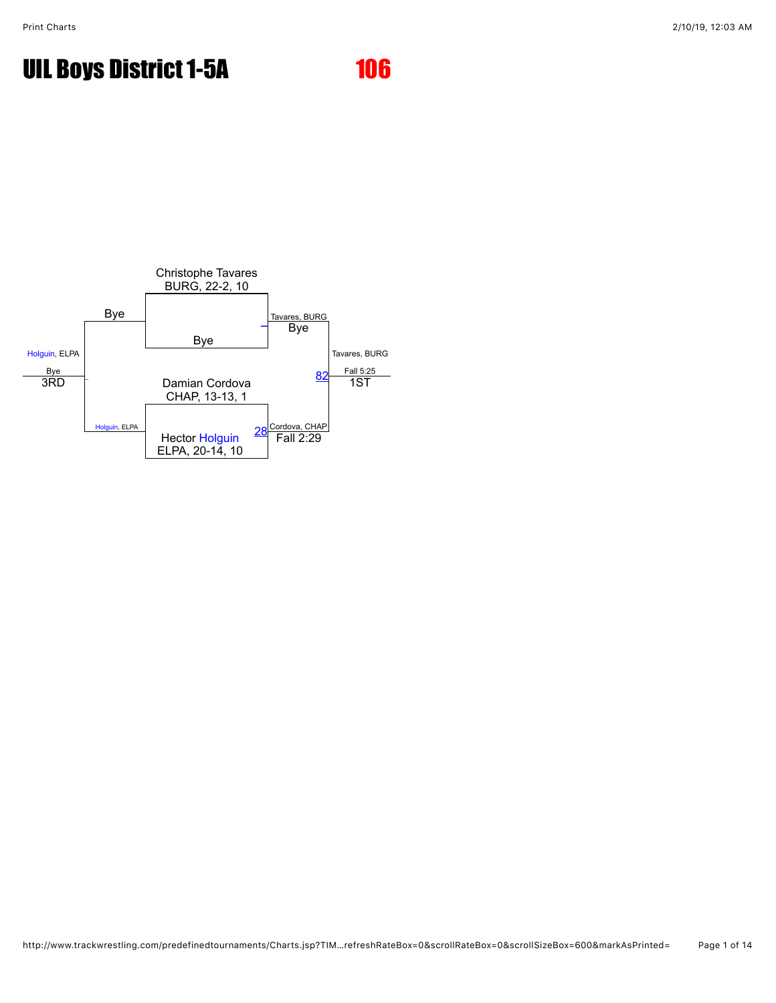

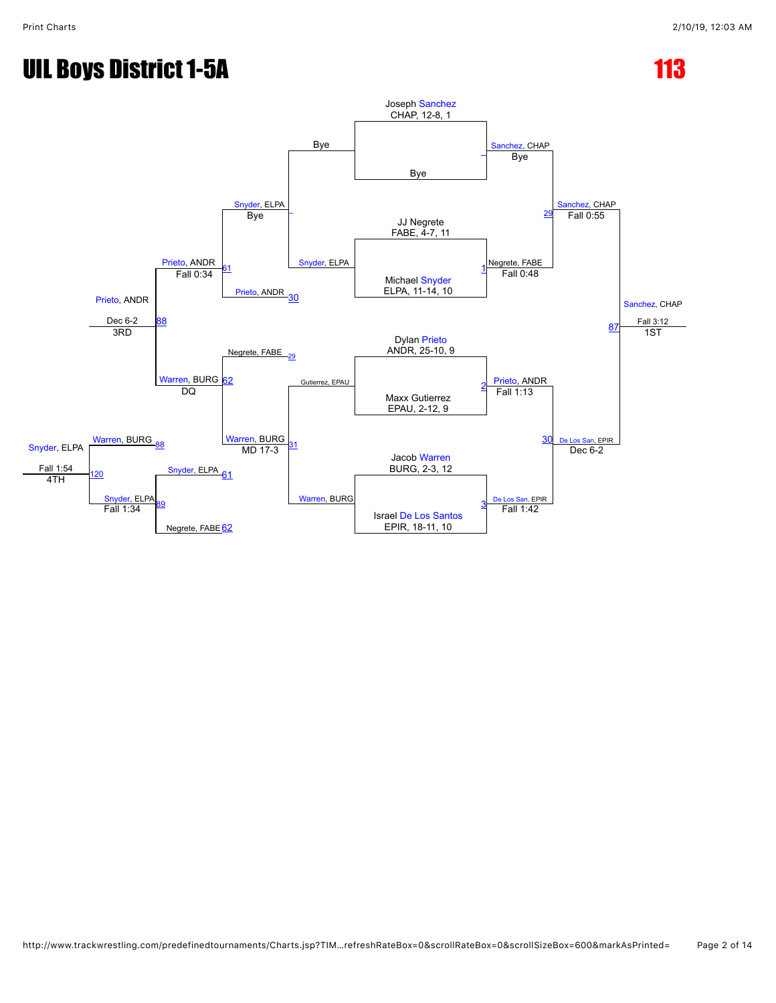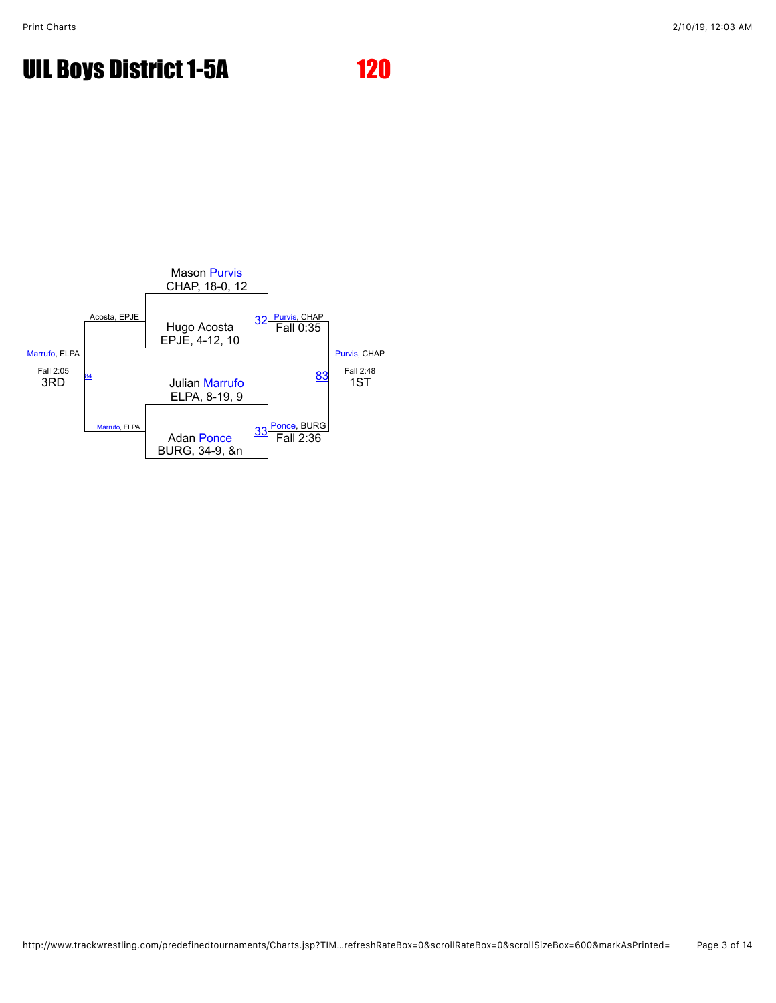

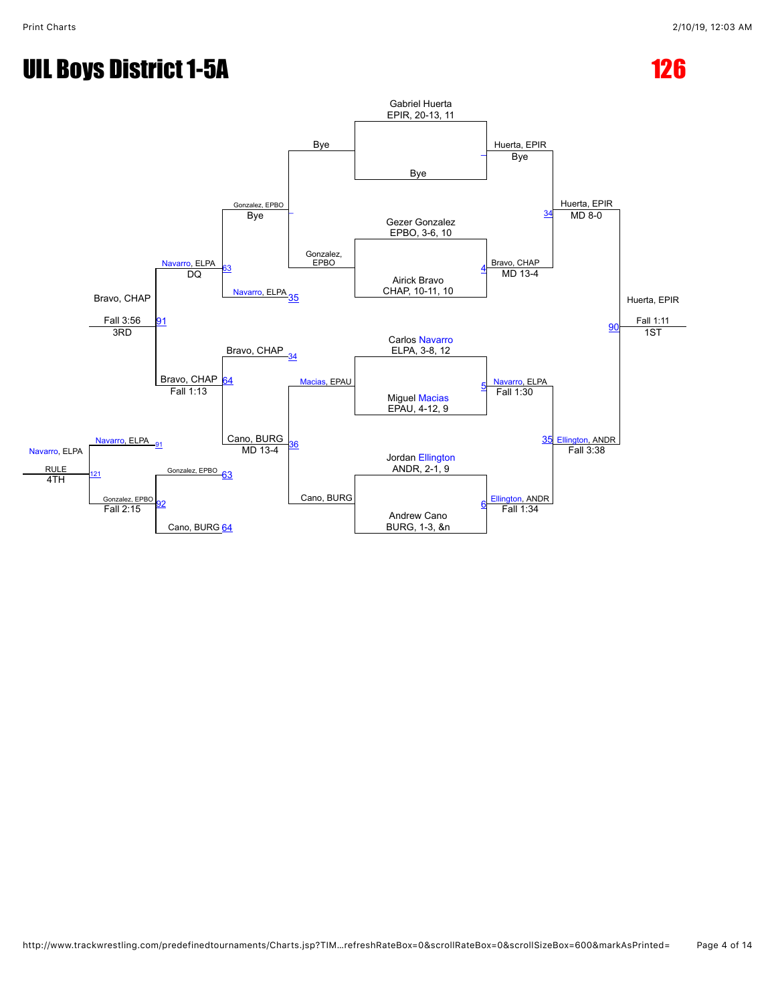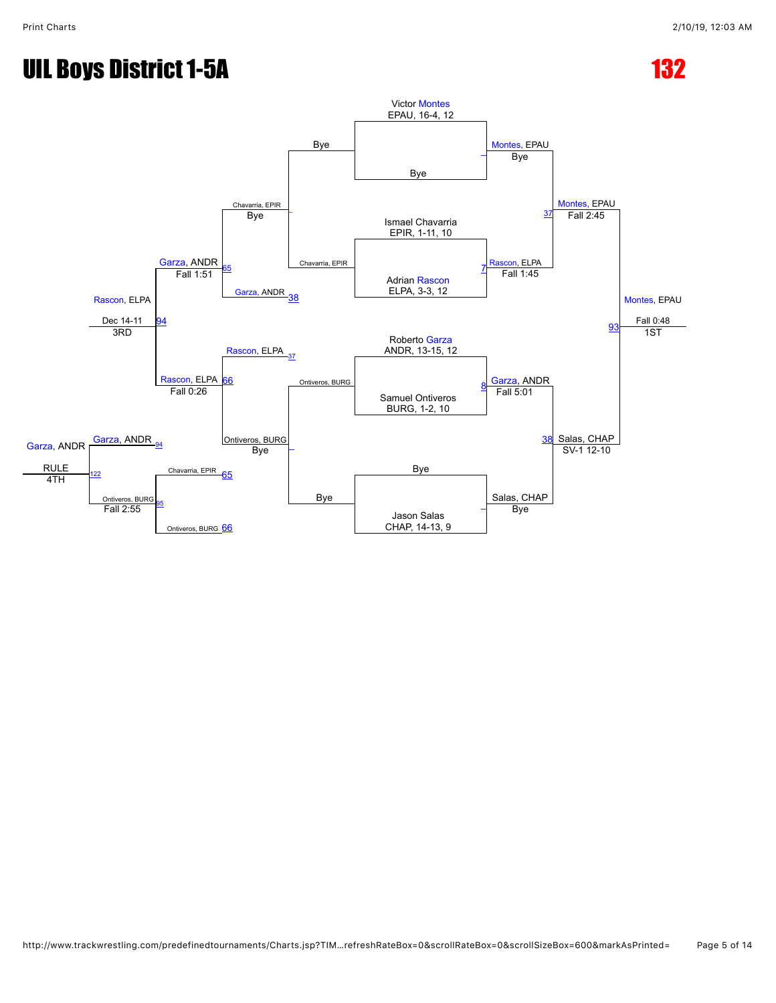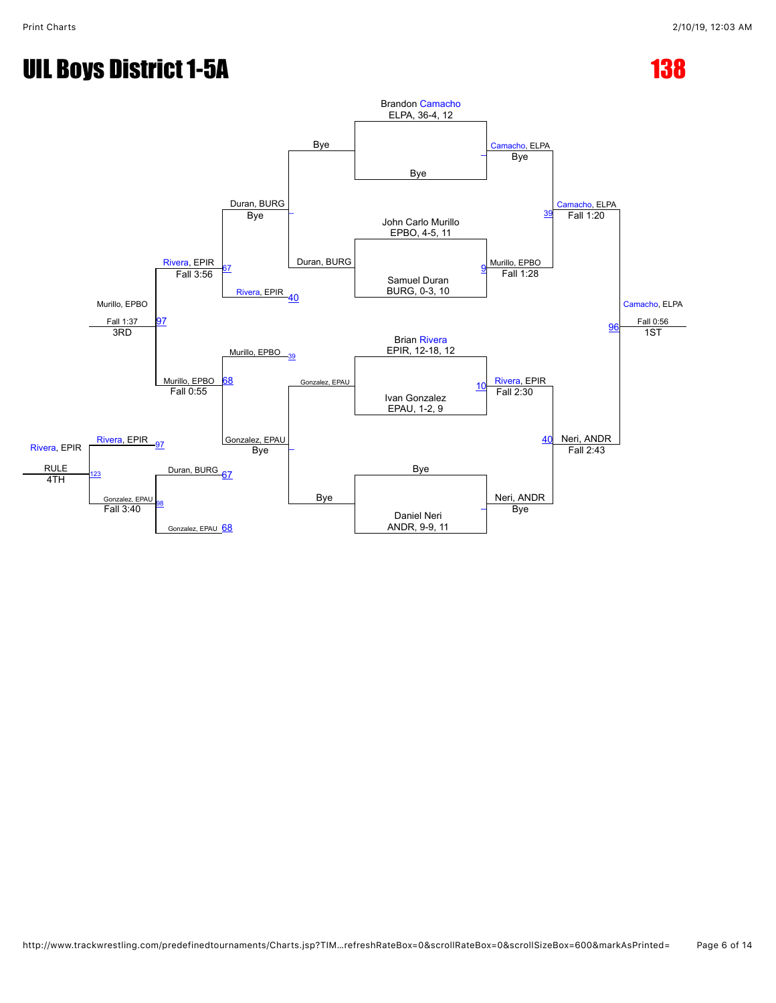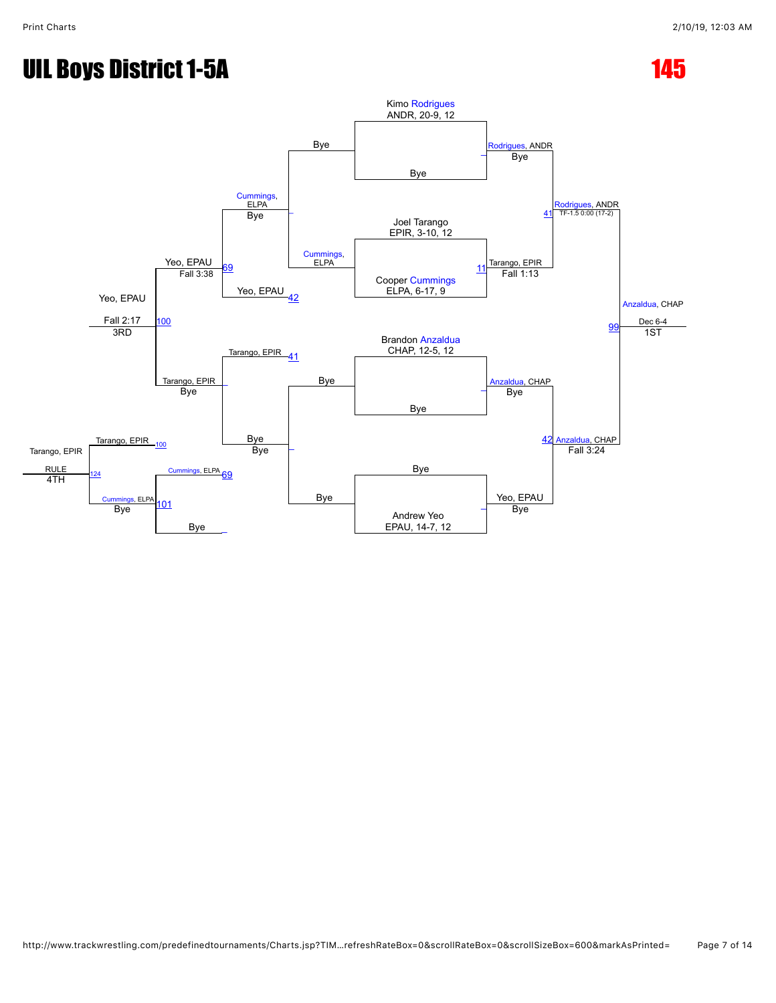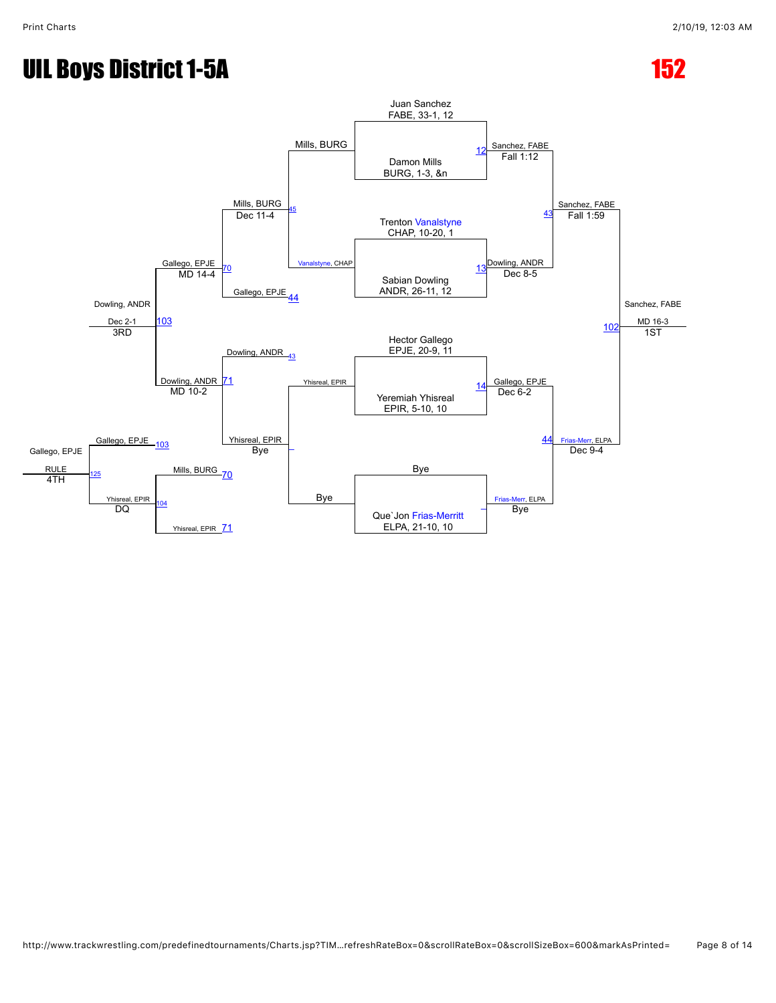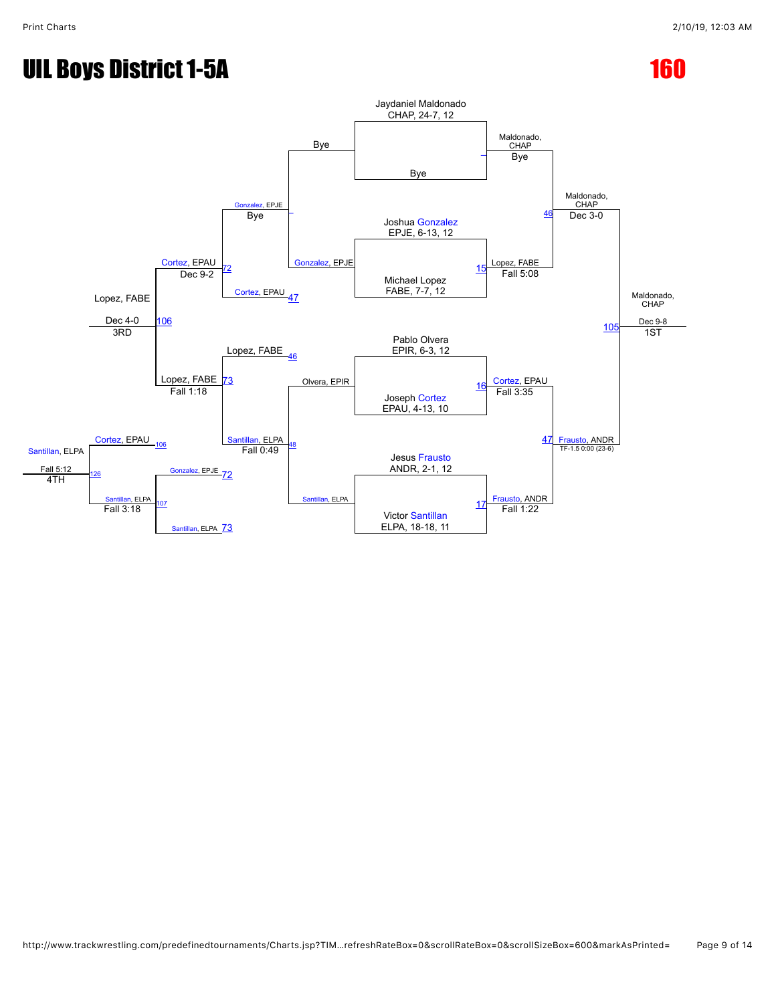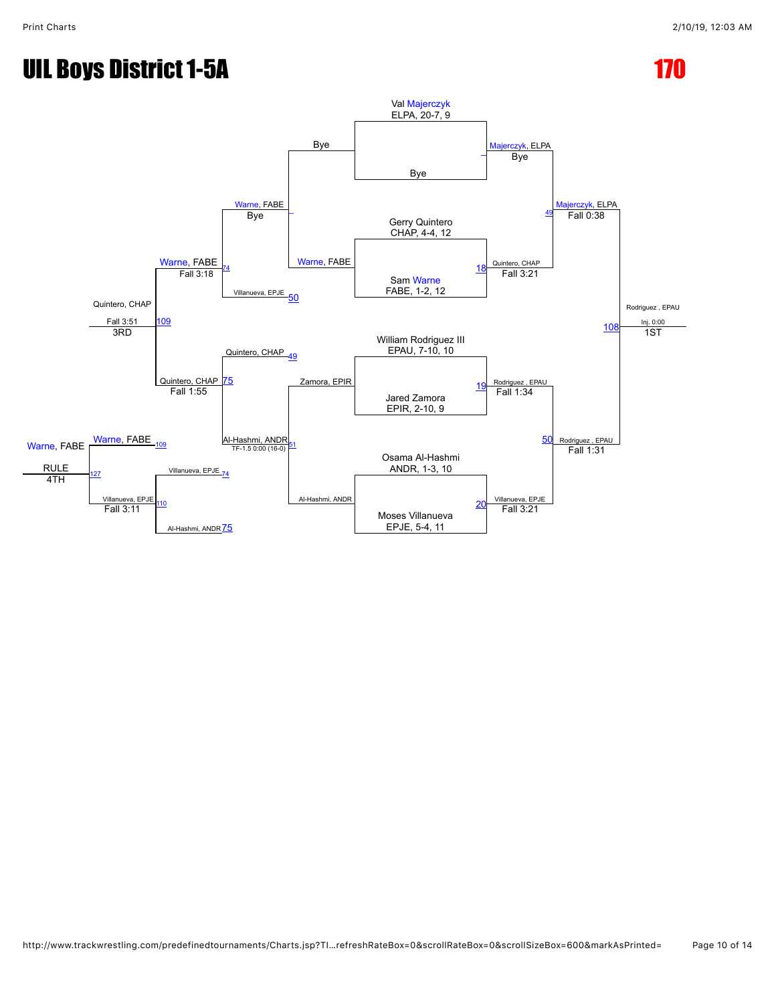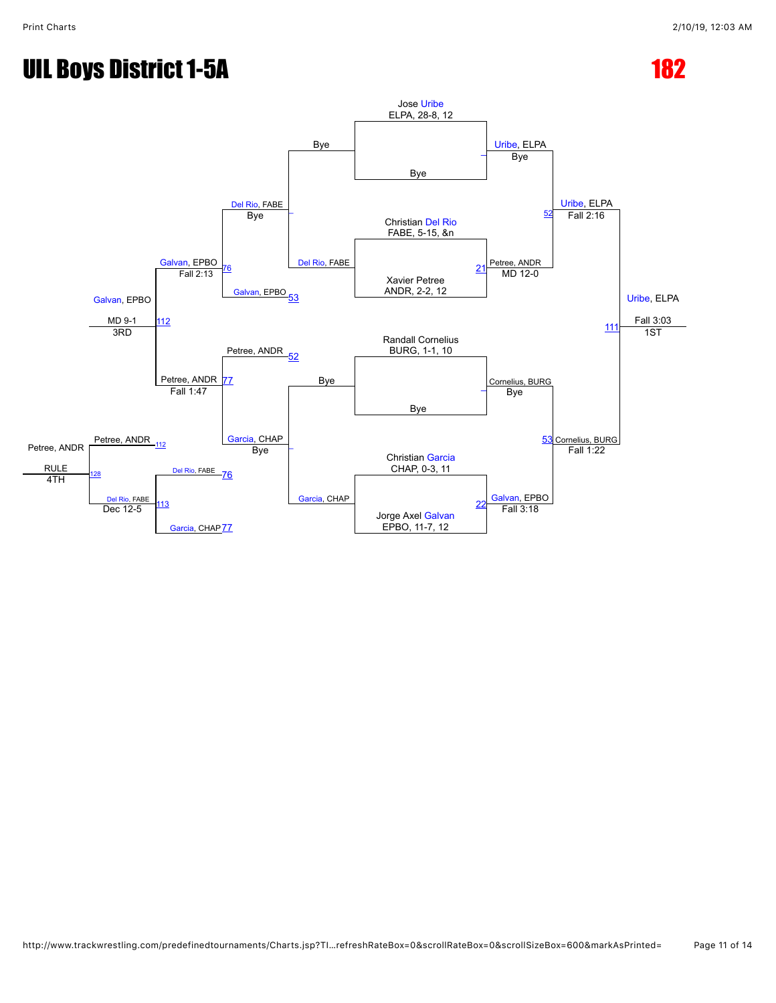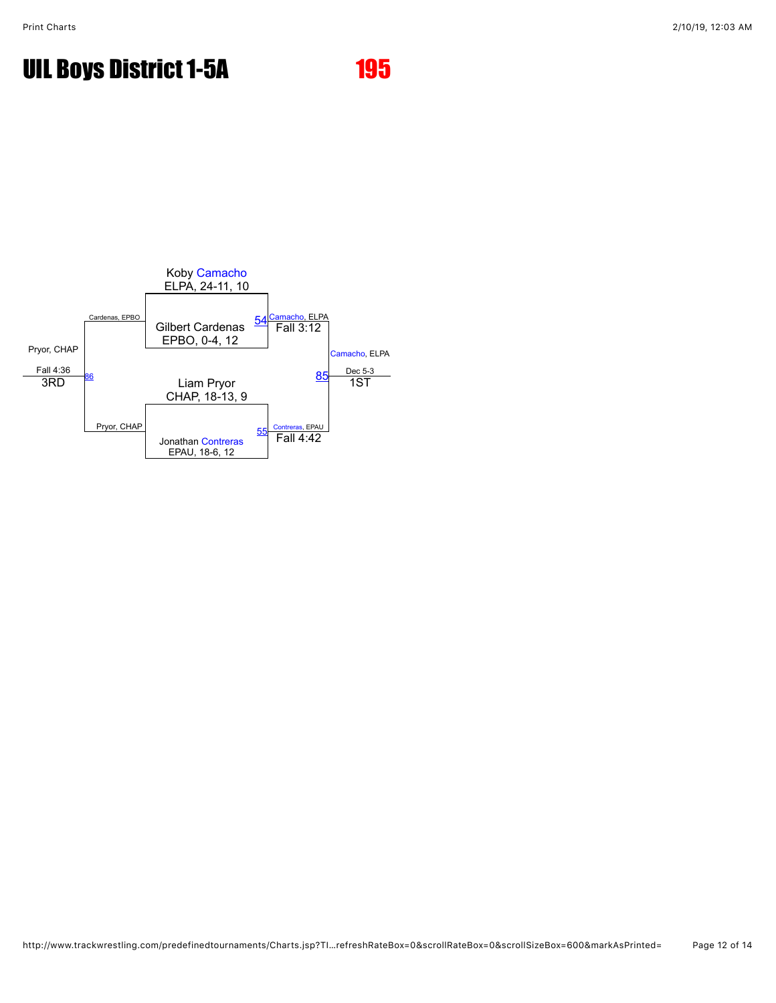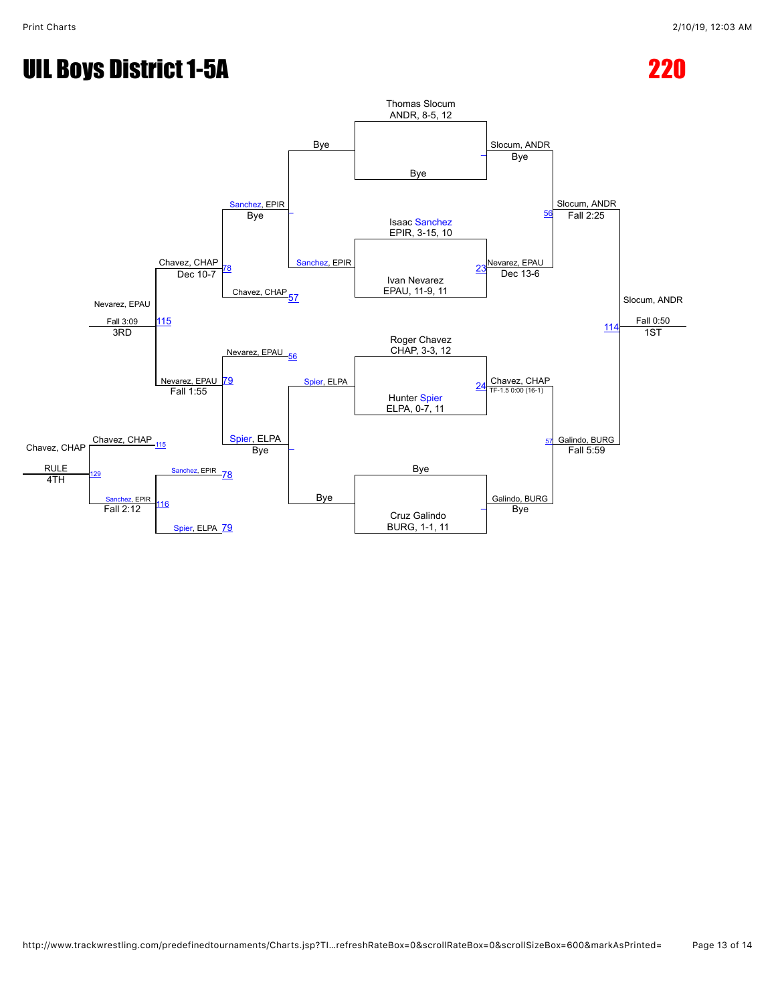